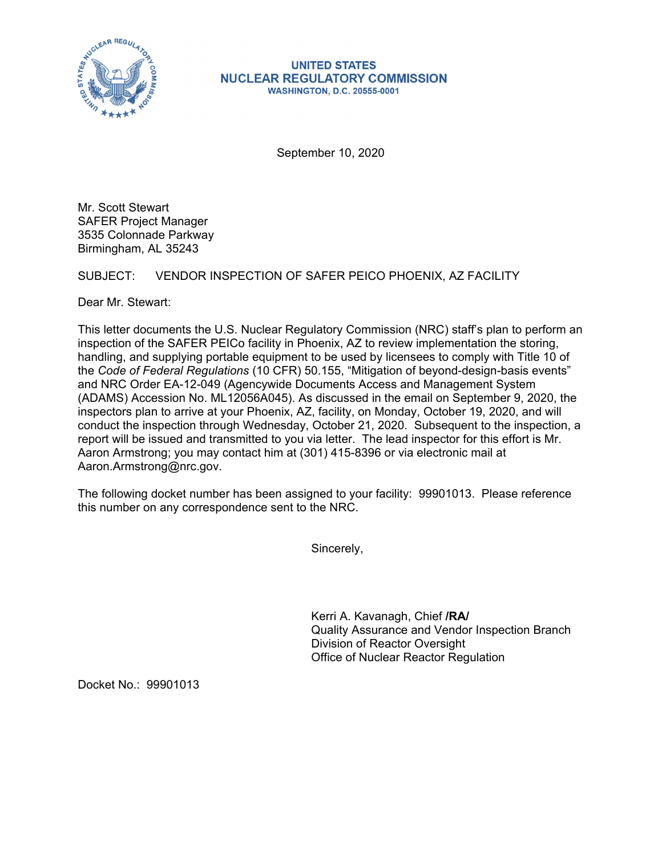

## **UNITED STATES NUCLEAR REGULATORY COMMISSION WASHINGTON, D.C. 20555-0001**

September 10, 2020

Mr. Scott Stewart SAFER Project Manager 3535 Colonnade Parkway Birmingham, AL 35243

SUBJECT: VENDOR INSPECTION OF SAFER PEICO PHOENIX, AZ FACILITY

Dear Mr. Stewart:

This letter documents the U.S. Nuclear Regulatory Commission (NRC) staff's plan to perform an inspection of the SAFER PEICo facility in Phoenix, AZ to review implementation the storing, handling, and supplying portable equipment to be used by licensees to comply with Title 10 of the *Code of Federal Regulations* (10 CFR) 50.155, "Mitigation of beyond-design-basis events" and NRC Order EA-12-049 (Agencywide Documents Access and Management System (ADAMS) Accession No. ML12056A045). As discussed in the email on September 9, 2020, the inspectors plan to arrive at your Phoenix, AZ, facility, on Monday, October 19, 2020, and will conduct the inspection through Wednesday, October 21, 2020. Subsequent to the inspection, a report will be issued and transmitted to you via letter. The lead inspector for this effort is Mr. Aaron Armstrong; you may contact him at (301) 415-8396 or via electronic mail at Aaron.Armstrong@nrc.gov.

The following docket number has been assigned to your facility: 99901013. Please reference this number on any correspondence sent to the NRC.

Sincerely,

Kerri A. Kavanagh, Chief **/RA/**  Quality Assurance and Vendor Inspection Branch Division of Reactor Oversight Office of Nuclear Reactor Regulation

Docket No.: 99901013